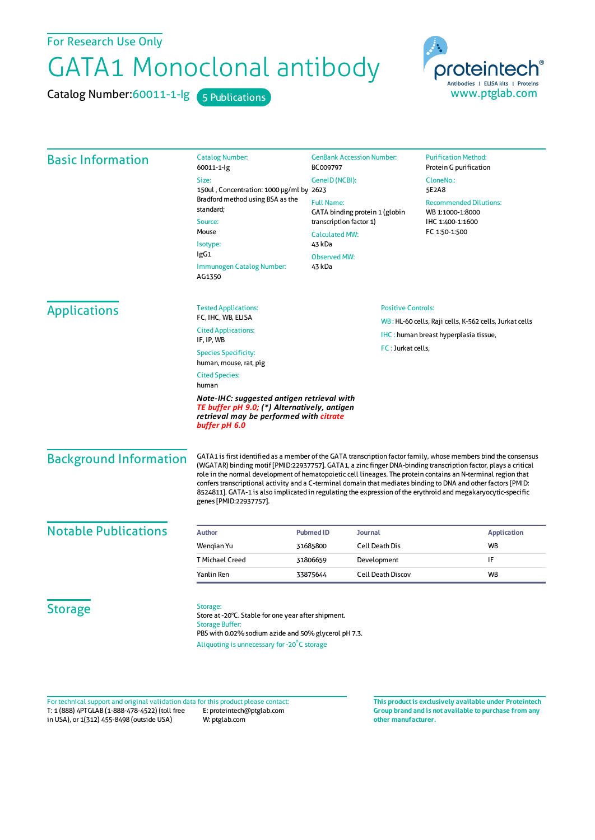## For Research Use Only

## GATA1 Monoclonal antibody

Catalog Number: 60011-1-lg 5 Publications



| <b>Basic Information</b>                                                                | <b>Catalog Number:</b><br>60011-1-lg                                                                                                                                                             | <b>GenBank Accession Number:</b><br>BC009797<br>GeneID (NCBI):                                                                                                                                                                                                                                                                                                                                                                                                                                                                                                                                                   |                                        | <b>Purification Method:</b><br>Protein G purification                                                                                                  |                                                        |                               |  |
|-----------------------------------------------------------------------------------------|--------------------------------------------------------------------------------------------------------------------------------------------------------------------------------------------------|------------------------------------------------------------------------------------------------------------------------------------------------------------------------------------------------------------------------------------------------------------------------------------------------------------------------------------------------------------------------------------------------------------------------------------------------------------------------------------------------------------------------------------------------------------------------------------------------------------------|----------------------------------------|--------------------------------------------------------------------------------------------------------------------------------------------------------|--------------------------------------------------------|-------------------------------|--|
|                                                                                         | Size:                                                                                                                                                                                            |                                                                                                                                                                                                                                                                                                                                                                                                                                                                                                                                                                                                                  |                                        | CloneNo.:                                                                                                                                              |                                                        |                               |  |
|                                                                                         | 150ul, Concentration: 1000 µg/ml by 2623<br>Bradford method using BSA as the                                                                                                                     |                                                                                                                                                                                                                                                                                                                                                                                                                                                                                                                                                                                                                  |                                        | 5E2A8                                                                                                                                                  |                                                        |                               |  |
|                                                                                         | standard:<br>Source:<br>Mouse<br>Isotype:                                                                                                                                                        | <b>Full Name:</b><br>GATA binding protein 1 (globin<br>transcription factor 1)<br><b>Calculated MW:</b>                                                                                                                                                                                                                                                                                                                                                                                                                                                                                                          |                                        | <b>Recommended Dilutions:</b><br>WB 1:1000-1:8000<br>IHC 1:400-1:1600<br>FC 1:50-1:500                                                                 |                                                        |                               |  |
|                                                                                         |                                                                                                                                                                                                  |                                                                                                                                                                                                                                                                                                                                                                                                                                                                                                                                                                                                                  |                                        |                                                                                                                                                        | 43 kDa                                                 |                               |  |
|                                                                                         |                                                                                                                                                                                                  |                                                                                                                                                                                                                                                                                                                                                                                                                                                                                                                                                                                                                  |                                        |                                                                                                                                                        | IgG1                                                   | <b>Observed MW:</b><br>43 kDa |  |
|                                                                                         |                                                                                                                                                                                                  | <b>Immunogen Catalog Number:</b><br>AG1350                                                                                                                                                                                                                                                                                                                                                                                                                                                                                                                                                                       |                                        |                                                                                                                                                        |                                                        |                               |  |
|                                                                                         | <b>Applications</b>                                                                                                                                                                              | <b>Tested Applications:</b>                                                                                                                                                                                                                                                                                                                                                                                                                                                                                                                                                                                      | <b>Positive Controls:</b>              |                                                                                                                                                        |                                                        |                               |  |
|                                                                                         |                                                                                                                                                                                                  | FC, IHC, WB, ELISA                                                                                                                                                                                                                                                                                                                                                                                                                                                                                                                                                                                               |                                        |                                                                                                                                                        | WB: HL-60 cells, Raji cells, K-562 cells, Jurkat cells |                               |  |
| <b>Cited Applications:</b><br>IF, IP, WB                                                |                                                                                                                                                                                                  |                                                                                                                                                                                                                                                                                                                                                                                                                                                                                                                                                                                                                  | IHC : human breast hyperplasia tissue, |                                                                                                                                                        |                                                        |                               |  |
|                                                                                         |                                                                                                                                                                                                  | FC: Jurkat cells,                                                                                                                                                                                                                                                                                                                                                                                                                                                                                                                                                                                                |                                        |                                                                                                                                                        |                                                        |                               |  |
| <b>Species Specificity:</b><br>human, mouse, rat, pig<br><b>Cited Species:</b><br>human |                                                                                                                                                                                                  |                                                                                                                                                                                                                                                                                                                                                                                                                                                                                                                                                                                                                  |                                        |                                                                                                                                                        |                                                        |                               |  |
|                                                                                         |                                                                                                                                                                                                  |                                                                                                                                                                                                                                                                                                                                                                                                                                                                                                                                                                                                                  |                                        | Note-IHC: suggested antigen retrieval with<br>TE buffer pH 9.0; (*) Alternatively, antigen<br>retrieval may be performed with citrate<br>buffer pH 6.0 |                                                        |                               |  |
| <b>Background Information</b>                                                           |                                                                                                                                                                                                  | GATA1 is first identified as a member of the GATA transcription factor family, whose members bind the consensus<br>(WGATAR) binding motif [PMID:22937757]. GATA1, a zinc finger DNA-binding transcription factor, plays a critical<br>role in the normal development of hematopoietic cell lineages. The protein contains an N-terminal region that<br>confers transcriptional activity and a C-terminal domain that mediates binding to DNA and other factors [PMID:<br>8524811]. GATA-1 is also implicated in regulating the expression of the erythroid and megakaryocytic-specific<br>genes [PMID:22937757]. |                                        |                                                                                                                                                        |                                                        |                               |  |
| <b>Notable Publications</b>                                                             | <b>Author</b>                                                                                                                                                                                    | <b>Pubmed ID</b>                                                                                                                                                                                                                                                                                                                                                                                                                                                                                                                                                                                                 | Journal                                | <b>Application</b>                                                                                                                                     |                                                        |                               |  |
|                                                                                         | Wengian Yu                                                                                                                                                                                       | 31685800                                                                                                                                                                                                                                                                                                                                                                                                                                                                                                                                                                                                         | <b>Cell Death Dis</b>                  | <b>WB</b>                                                                                                                                              |                                                        |                               |  |
|                                                                                         | <b>T Michael Creed</b>                                                                                                                                                                           | 31806659                                                                                                                                                                                                                                                                                                                                                                                                                                                                                                                                                                                                         | Development                            | IF                                                                                                                                                     |                                                        |                               |  |
|                                                                                         | Yanlin Ren                                                                                                                                                                                       | 33875644                                                                                                                                                                                                                                                                                                                                                                                                                                                                                                                                                                                                         | <b>Cell Death Discov</b>               | <b>WB</b>                                                                                                                                              |                                                        |                               |  |
| <b>Storage</b>                                                                          | Storage:<br>Store at -20°C. Stable for one year after shipment.<br><b>Storage Buffer:</b><br>PBS with 0.02% sodium azide and 50% glycerol pH 7.3.<br>Aliquoting is unnecessary for -20°C storage |                                                                                                                                                                                                                                                                                                                                                                                                                                                                                                                                                                                                                  |                                        |                                                                                                                                                        |                                                        |                               |  |

T: 1 (888) 4PTGLAB (1-888-478-4522) (toll free in USA), or 1(312) 455-8498 (outside USA) E: proteintech@ptglab.com W: ptglab.com Fortechnical support and original validation data forthis product please contact: **This productis exclusively available under Proteintech**

**Group brand and is not available to purchase from any other manufacturer.**